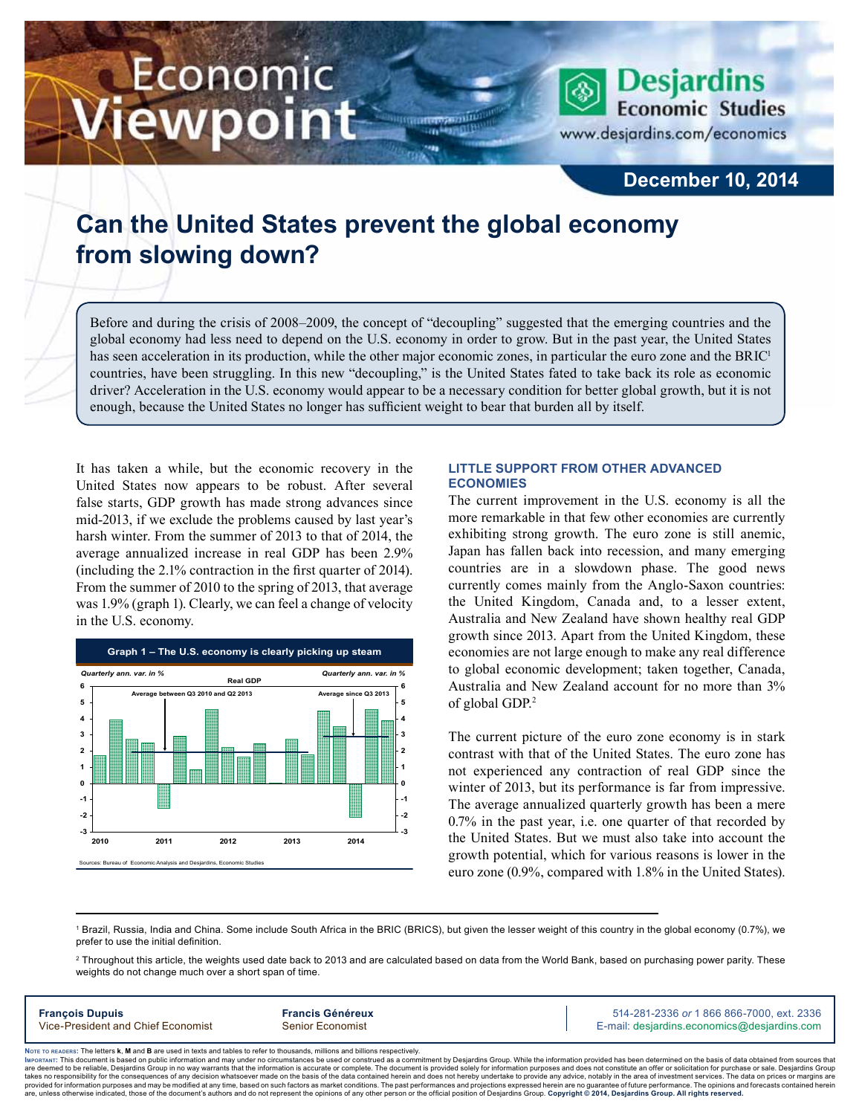# Economic iewpoint

**Desjardins Economic Studies** www.desjardins.com/economics

### **December 10, 2014**

## **Can the United States prevent the global economy from slowing down?**

Before and during the crisis of 2008–2009, the concept of "decoupling" suggested that the emerging countries and the global economy had less need to depend on the U.S. economy in order to grow. But in the past year, the United States has seen acceleration in its production, while the other major economic zones, in particular the euro zone and the BRIC<sup>1</sup> countries, have been struggling. In this new "decoupling," is the United States fated to take back its role as economic driver? Acceleration in the U.S. economy would appear to be a necessary condition for better global growth, but it is not enough, because the United States no longer has sufficient weight to bear that burden all by itself.

,,,

It has taken a while, but the economic recovery in the United States now appears to be robust. After several false starts, GDP growth has made strong advances since mid‑2013, if we exclude the problems caused by last year's harsh winter. From the summer of 2013 to that of 2014, the average annualized increase in real GDP has been 2.9% (including the 2.1% contraction in the first quarter of 2014). From the summer of 2010 to the spring of 2013, that average was 1.9% (graph 1). Clearly, we can feel a change of velocity in the U.S. economy.



#### **Little support from other advanced economies**

The current improvement in the U.S. economy is all the more remarkable in that few other economies are currently exhibiting strong growth. The euro zone is still anemic, Japan has fallen back into recession, and many emerging countries are in a slowdown phase. The good news currently comes mainly from the Anglo-Saxon countries: the United Kingdom, Canada and, to a lesser extent, Australia and New Zealand have shown healthy real GDP growth since 2013. Apart from the United Kingdom, these economies are not large enough to make any real difference to global economic development; taken together, Canada, Australia and New Zealand account for no more than 3% of global GDP.2

The current picture of the euro zone economy is in stark contrast with that of the United States. The euro zone has not experienced any contraction of real GDP since the winter of 2013, but its performance is far from impressive. The average annualized quarterly growth has been a mere 0.7% in the past year, i.e. one quarter of that recorded by the United States. But we must also take into account the growth potential, which for various reasons is lower in the euro zone (0.9%, compared with 1.8% in the United States).

1 Brazil, Russia, India and China. Some include South Africa in the BRIC (BRICS), but given the lesser weight of this country in the global economy (0.7%), we prefer to use the initial definition.

 $^2$  Throughout this article, the weights used date back to 2013 and are calculated based on data from the World Bank, based on purchasing power parity. These weights do not change much over a short span of time

| <b>François Dupuis</b>             | <b>Francis Généreux</b> | 514-281-2336 or 1 866 866-7000, ext. 2336   |
|------------------------------------|-------------------------|---------------------------------------------|
| Vice-President and Chief Economist | Senior Economist        | E-mail: desjardins.economics@desjardins.com |
|                                    |                         |                                             |

Noте то келоекs: The letters **k, M** and **B** are used in texts and tables to refer to thousands, millions and billions respectively.<br>Імроктлит: This document is based on public information and may under no circumstances be are deemed to be reliable. Desiardins Group in no way warrants that the information is accurate or complete. The document is provided solely for information purposes and does not constitute an offer or solicitation for pur takes no responsibility for the consequences of any decision whatsoever made on the basis of the data contained herein and does not hereby undertake to provide any advice, notably in the area of investment services. The da .<br>are, unless otherwise indicated, those of the document's authors and do not represent the opinions of any other person or the official position of Desjardins Group. Copyright © 2014, Desjardins Group. All rights reserve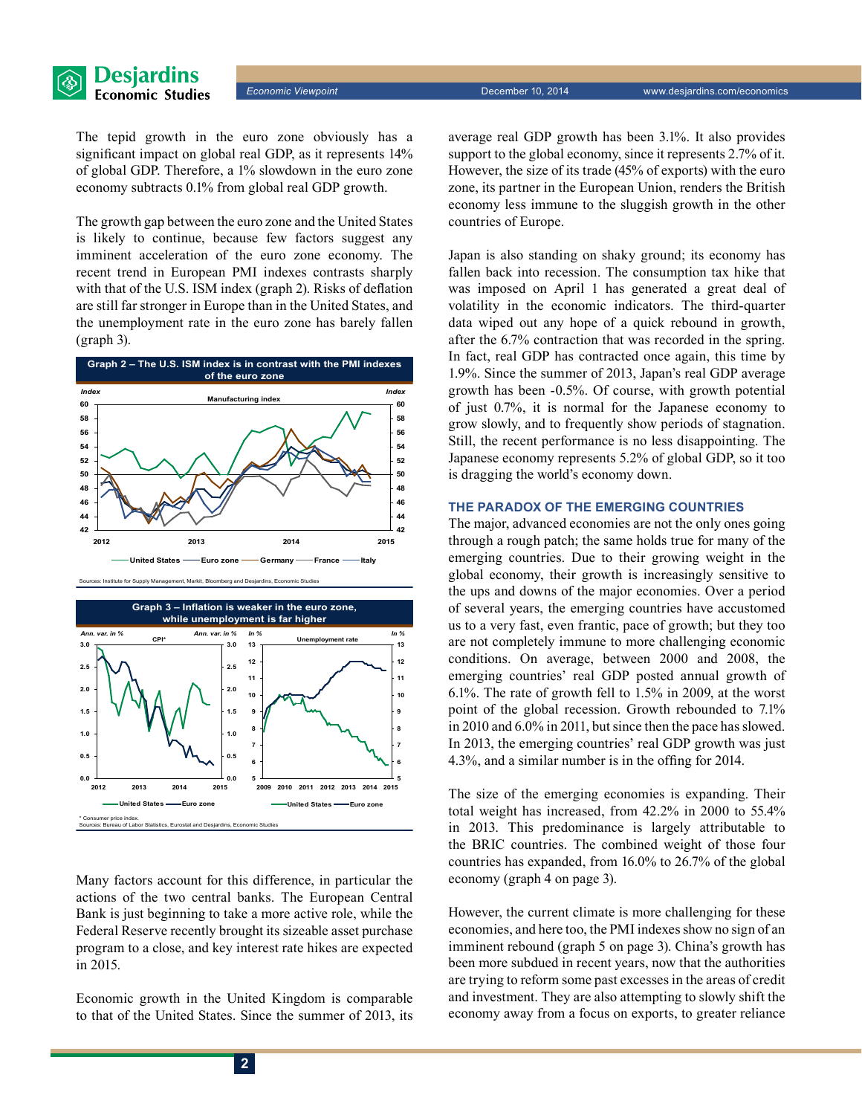

The tepid growth in the euro zone obviously has a significant impact on global real GDP, as it represents 14% of global GDP. Therefore, a 1% slowdown in the euro zone economy subtracts 0.1% from global real GDP growth.

**Desjardins Economic Studies** 

The growth gap between the euro zone and the United States is likely to continue, because few factors suggest any imminent acceleration of the euro zone economy. The recent trend in European PMI indexes contrasts sharply with that of the U.S. ISM index (graph 2). Risks of deflation are still far stronger in Europe than in the United States, and the unemployment rate in the euro zone has barely fallen (graph 3).



tute for Supply Management, Markit, Bloomberg and Desjard



Many factors account for this difference, in particular the actions of the two central banks. The European Central Bank is just beginning to take a more active role, while the Federal Reserve recently brought its sizeable asset purchase program to a close, and key interest rate hikes are expected in 2015.

Economic growth in the United Kingdom is comparable to that of the United States. Since the summer of 2013, its average real GDP growth has been 3.1%. It also provides support to the global economy, since it represents 2.7% of it. However, the size of its trade (45% of exports) with the euro zone, its partner in the European Union, renders the British economy less immune to the sluggish growth in the other countries of Europe.

Japan is also standing on shaky ground; its economy has fallen back into recession. The consumption tax hike that was imposed on April 1 has generated a great deal of volatility in the economic indicators. The third-quarter data wiped out any hope of a quick rebound in growth, after the 6.7% contraction that was recorded in the spring. In fact, real GDP has contracted once again, this time by 1.9%. Since the summer of 2013, Japan's real GDP average growth has been -0.5%. Of course, with growth potential of just 0.7%, it is normal for the Japanese economy to grow slowly, and to frequently show periods of stagnation. Still, the recent performance is no less disappointing. The Japanese economy represents 5.2% of global GDP, so it too is dragging the world's economy down.

#### **The paradox of the emerging countries**

The major, advanced economies are not the only ones going through a rough patch; the same holds true for many of the emerging countries. Due to their growing weight in the global economy, their growth is increasingly sensitive to the ups and downs of the major economies. Over a period of several years, the emerging countries have accustomed us to a very fast, even frantic, pace of growth; but they too are not completely immune to more challenging economic conditions. On average, between 2000 and 2008, the emerging countries' real GDP posted annual growth of 6.1%. The rate of growth fell to 1.5% in 2009, at the worst point of the global recession. Growth rebounded to 7.1% in 2010 and 6.0% in 2011, but since then the pace has slowed. In 2013, the emerging countries' real GDP growth was just 4.3%, and a similar number is in the offing for 2014.

The size of the emerging economies is expanding. Their total weight has increased, from 42.2% in 2000 to 55.4% in 2013. This predominance is largely attributable to the BRIC countries. The combined weight of those four countries has expanded, from 16.0% to 26.7% of the global economy (graph 4 on page 3).

However, the current climate is more challenging for these economies, and here too, the PMI indexes show no sign of an imminent rebound (graph 5 on page 3). China's growth has been more subdued in recent years, now that the authorities are trying to reform some past excesses in the areas of credit and investment. They are also attempting to slowly shift the economy away from a focus on exports, to greater reliance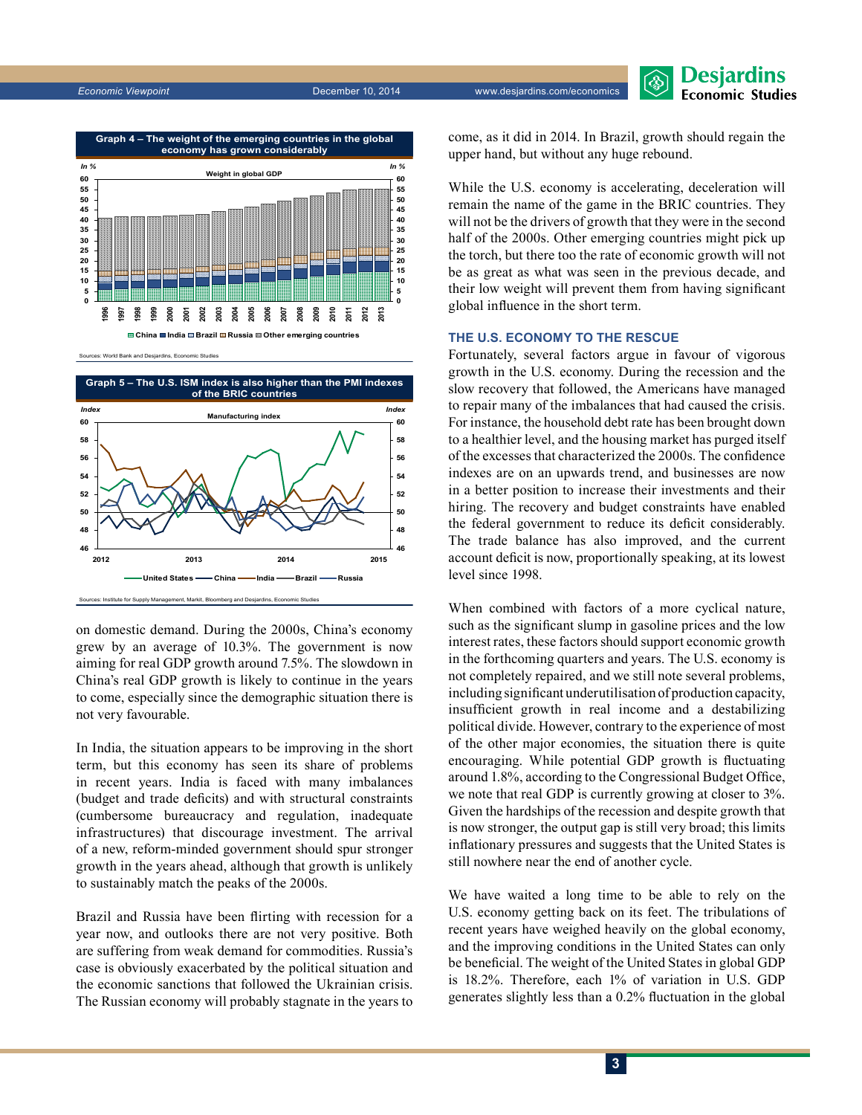



Sources: World Bank and Desjardins, Economic Studies



on domestic demand. During the 2000s, China's economy grew by an average of 10.3%. The government is now aiming for real GDP growth around 7.5%. The slowdown in China's real GDP growth is likely to continue in the years to come, especially since the demographic situation there is not very favourable.

In India, the situation appears to be improving in the short term, but this economy has seen its share of problems in recent years. India is faced with many imbalances (budget and trade deficits) and with structural constraints (cumbersome bureaucracy and regulation, inadequate infrastructures) that discourage investment. The arrival of a new, reform-minded government should spur stronger growth in the years ahead, although that growth is unlikely to sustainably match the peaks of the 2000s.

Brazil and Russia have been flirting with recession for a year now, and outlooks there are not very positive. Both are suffering from weak demand for commodities. Russia's case is obviously exacerbated by the political situation and the economic sanctions that followed the Ukrainian crisis. The Russian economy will probably stagnate in the years to come, as it did in 2014. In Brazil, growth should regain the upper hand, but without any huge rebound.

While the U.S. economy is accelerating, deceleration will remain the name of the game in the BRIC countries. They will not be the drivers of growth that they were in the second half of the 2000s. Other emerging countries might pick up the torch, but there too the rate of economic growth will not be as great as what was seen in the previous decade, and their low weight will prevent them from having significant global influence in the short term.

#### **The U.S. economy to the rescue**

Fortunately, several factors argue in favour of vigorous growth in the U.S. economy. During the recession and the slow recovery that followed, the Americans have managed to repair many of the imbalances that had caused the crisis. For instance, the household debt rate has been brought down to a healthier level, and the housing market has purged itself of the excesses that characterized the 2000s. The confidence indexes are on an upwards trend, and businesses are now in a better position to increase their investments and their hiring. The recovery and budget constraints have enabled the federal government to reduce its deficit considerably. The trade balance has also improved, and the current account deficit is now, proportionally speaking, at its lowest level since 1998.

When combined with factors of a more cyclical nature, such as the significant slump in gasoline prices and the low interest rates, these factors should support economic growth in the forthcoming quarters and years. The U.S. economy is not completely repaired, and we still note several problems, including significant underutilisation of production capacity, insufficient growth in real income and a destabilizing political divide. However, contrary to the experience of most of the other major economies, the situation there is quite encouraging. While potential GDP growth is fluctuating around 1.8%, according to the Congressional Budget Office, we note that real GDP is currently growing at closer to 3%. Given the hardships of the recession and despite growth that is now stronger, the output gap is still very broad; this limits inflationary pressures and suggests that the United States is still nowhere near the end of another cycle.

We have waited a long time to be able to rely on the U.S. economy getting back on its feet. The tribulations of recent years have weighed heavily on the global economy, and the improving conditions in the United States can only be beneficial. The weight of the United States in global GDP is 18.2%. Therefore, each 1% of variation in U.S. GDP generates slightly less than a 0.2% fluctuation in the global